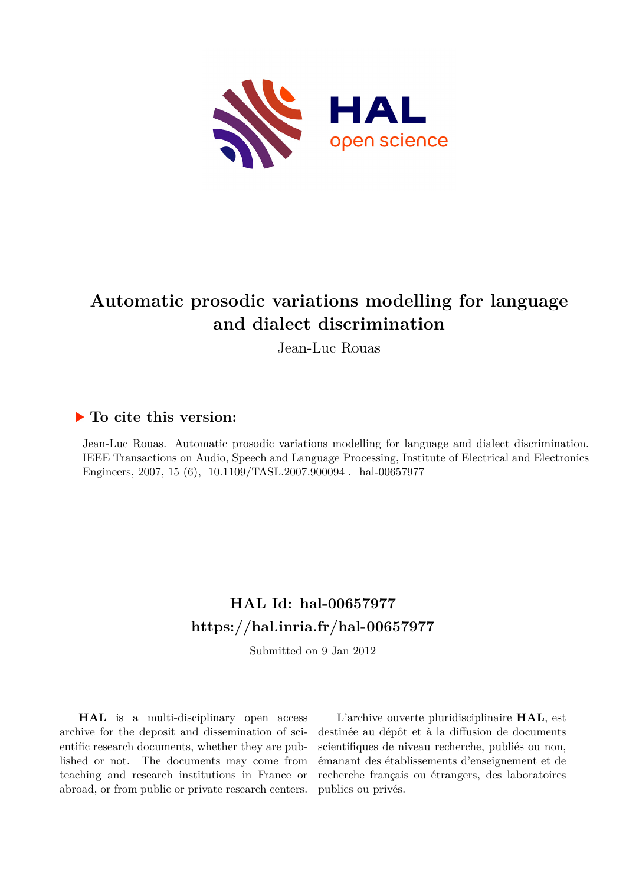

# **Automatic prosodic variations modelling for language and dialect discrimination**

Jean-Luc Rouas

# **To cite this version:**

Jean-Luc Rouas. Automatic prosodic variations modelling for language and dialect discrimination. IEEE Transactions on Audio, Speech and Language Processing, Institute of Electrical and Electronics Engineers, 2007, 15 (6),  $10.1109/TASL.2007.900094$ . hal-00657977

# **HAL Id: hal-00657977 <https://hal.inria.fr/hal-00657977>**

Submitted on 9 Jan 2012

**HAL** is a multi-disciplinary open access archive for the deposit and dissemination of scientific research documents, whether they are published or not. The documents may come from teaching and research institutions in France or abroad, or from public or private research centers.

L'archive ouverte pluridisciplinaire **HAL**, est destinée au dépôt et à la diffusion de documents scientifiques de niveau recherche, publiés ou non, émanant des établissements d'enseignement et de recherche français ou étrangers, des laboratoires publics ou privés.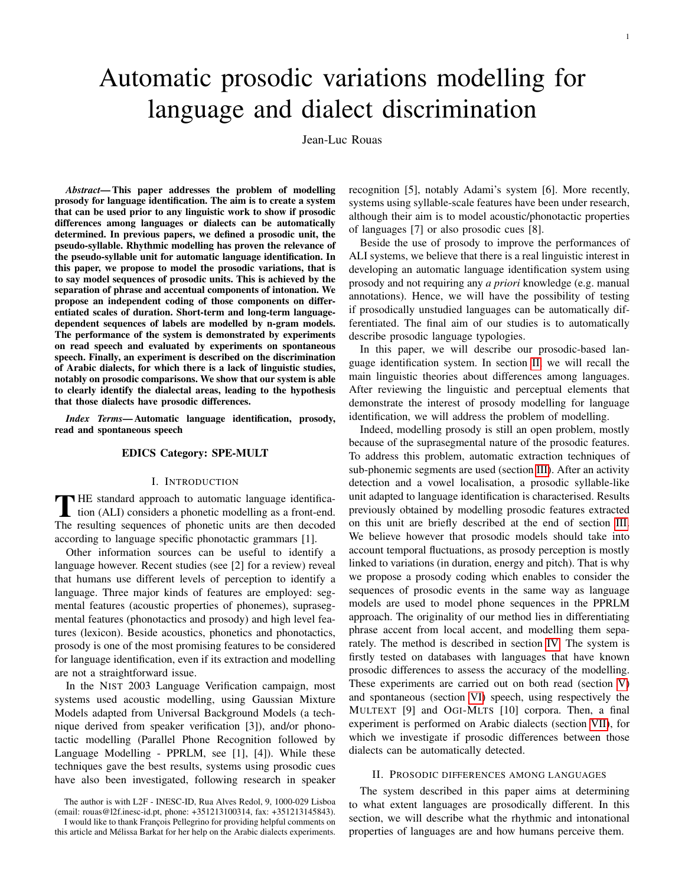language and dialect discrimination

Jean-Luc Rouas

*Abstract*— This paper addresses the problem of modelling prosody for language identification. The aim is to create a system that can be used prior to any linguistic work to show if prosodic differences among languages or dialects can be automatically determined. In previous papers, we defined a prosodic unit, the pseudo-syllable. Rhythmic modelling has proven the relevance of the pseudo-syllable unit for automatic language identification. In this paper, we propose to model the prosodic variations, that is to say model sequences of prosodic units. This is achieved by the separation of phrase and accentual components of intonation. We propose an independent coding of those components on differentiated scales of duration. Short-term and long-term languagedependent sequences of labels are modelled by n-gram models. The performance of the system is demonstrated by experiments on read speech and evaluated by experiments on spontaneous speech. Finally, an experiment is described on the discrimination of Arabic dialects, for which there is a lack of linguistic studies, notably on prosodic comparisons. We show that our system is able to clearly identify the dialectal areas, leading to the hypothesis that those dialects have prosodic differences.

*Index Terms*— Automatic language identification, prosody, read and spontaneous speech

# EDICS Category: SPE-MULT

## I. INTRODUCTION

THE standard approach to automatic language identifica-<br>tion (ALI) considers a phonetic modelling as a front-end. **HE** standard approach to automatic language identifica-The resulting sequences of phonetic units are then decoded according to language specific phonotactic grammars [1].

Other information sources can be useful to identify a language however. Recent studies (see [2] for a review) reveal that humans use different levels of perception to identify a language. Three major kinds of features are employed: segmental features (acoustic properties of phonemes), suprasegmental features (phonotactics and prosody) and high level features (lexicon). Beside acoustics, phonetics and phonotactics, prosody is one of the most promising features to be considered for language identification, even if its extraction and modelling are not a straightforward issue.

In the NIST 2003 Language Verification campaign, most systems used acoustic modelling, using Gaussian Mixture Models adapted from Universal Background Models (a technique derived from speaker verification [3]), and/or phonotactic modelling (Parallel Phone Recognition followed by Language Modelling - PPRLM, see [1], [4]). While these techniques gave the best results, systems using prosodic cues have also been investigated, following research in speaker

The author is with L2F - INESC-ID, Rua Alves Redol, 9, 1000-029 Lisboa (email: rouas@l2f.inesc-id.pt, phone: +351213100314, fax: +351213145843). I would like to thank François Pellegrino for providing helpful comments on

this article and Mélissa Barkat for her help on the Arabic dialects experiments.

recognition [5], notably Adami's system [6]. More recently, systems using syllable-scale features have been under research, although their aim is to model acoustic/phonotactic properties of languages [7] or also prosodic cues [8].

Beside the use of prosody to improve the performances of ALI systems, we believe that there is a real linguistic interest in developing an automatic language identification system using prosody and not requiring any *a priori* knowledge (e.g. manual annotations). Hence, we will have the possibility of testing if prosodically unstudied languages can be automatically differentiated. The final aim of our studies is to automatically describe prosodic language typologies.

In this paper, we will describe our prosodic-based language identification system. In section [II,](#page-1-0) we will recall the main linguistic theories about differences among languages. After reviewing the linguistic and perceptual elements that demonstrate the interest of prosody modelling for language identification, we will address the problem of modelling.

Indeed, modelling prosody is still an open problem, mostly because of the suprasegmental nature of the prosodic features. To address this problem, automatic extraction techniques of sub-phonemic segments are used (section [III\)](#page-2-0). After an activity detection and a vowel localisation, a prosodic syllable-like unit adapted to language identification is characterised. Results previously obtained by modelling prosodic features extracted on this unit are briefly described at the end of section [III.](#page-3-0) We believe however that prosodic models should take into account temporal fluctuations, as prosody perception is mostly linked to variations (in duration, energy and pitch). That is why we propose a prosody coding which enables to consider the sequences of prosodic events in the same way as language models are used to model phone sequences in the PPRLM approach. The originality of our method lies in differentiating phrase accent from local accent, and modelling them separately. The method is described in section [IV.](#page-3-1) The system is firstly tested on databases with languages that have known prosodic differences to assess the accuracy of the modelling. These experiments are carried out on both read (section [V\)](#page-5-0) and spontaneous (section [VI\)](#page-6-0) speech, using respectively the MULTEXT [9] and OGI-MLTS [10] corpora. Then, a final experiment is performed on Arabic dialects (section [VII\)](#page-7-0), for which we investigate if prosodic differences between those dialects can be automatically detected.

## II. PROSODIC DIFFERENCES AMONG LANGUAGES

<span id="page-1-0"></span>The system described in this paper aims at determining to what extent languages are prosodically different. In this section, we will describe what the rhythmic and intonational properties of languages are and how humans perceive them.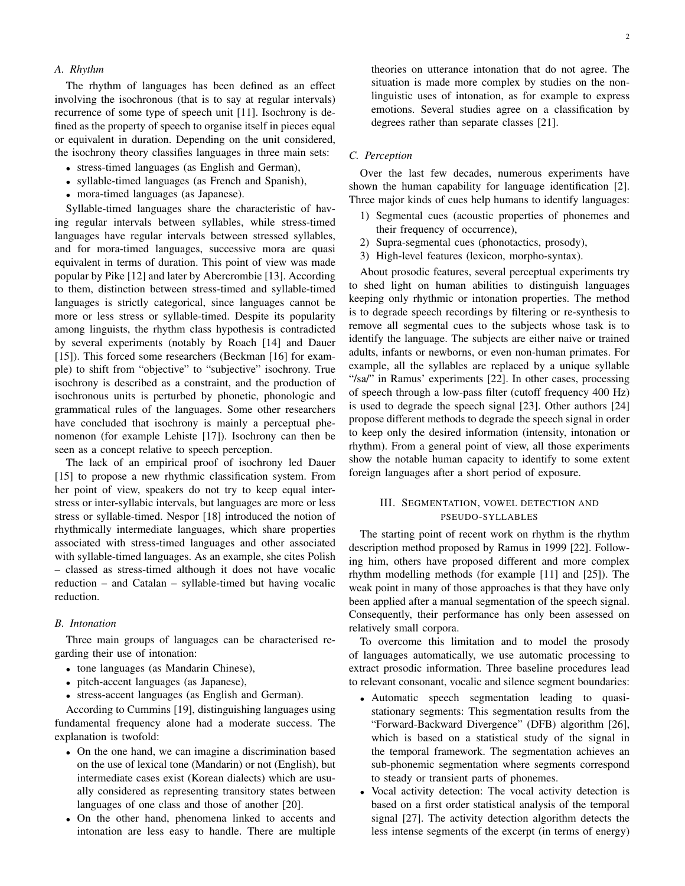# *A. Rhythm*

The rhythm of languages has been defined as an effect involving the isochronous (that is to say at regular intervals) recurrence of some type of speech unit [11]. Isochrony is defined as the property of speech to organise itself in pieces equal or equivalent in duration. Depending on the unit considered, the isochrony theory classifies languages in three main sets:

- stress-timed languages (as English and German),
- syllable-timed languages (as French and Spanish),
- mora-timed languages (as Japanese).

Syllable-timed languages share the characteristic of having regular intervals between syllables, while stress-timed languages have regular intervals between stressed syllables, and for mora-timed languages, successive mora are quasi equivalent in terms of duration. This point of view was made popular by Pike [12] and later by Abercrombie [13]. According to them, distinction between stress-timed and syllable-timed languages is strictly categorical, since languages cannot be more or less stress or syllable-timed. Despite its popularity among linguists, the rhythm class hypothesis is contradicted by several experiments (notably by Roach [14] and Dauer [15]). This forced some researchers (Beckman [16] for example) to shift from "objective" to "subjective" isochrony. True isochrony is described as a constraint, and the production of isochronous units is perturbed by phonetic, phonologic and grammatical rules of the languages. Some other researchers have concluded that isochrony is mainly a perceptual phenomenon (for example Lehiste [17]). Isochrony can then be seen as a concept relative to speech perception.

The lack of an empirical proof of isochrony led Dauer [15] to propose a new rhythmic classification system. From her point of view, speakers do not try to keep equal interstress or inter-syllabic intervals, but languages are more or less stress or syllable-timed. Nespor [18] introduced the notion of rhythmically intermediate languages, which share properties associated with stress-timed languages and other associated with syllable-timed languages. As an example, she cites Polish – classed as stress-timed although it does not have vocalic reduction – and Catalan – syllable-timed but having vocalic reduction.

#### *B. Intonation*

Three main groups of languages can be characterised regarding their use of intonation:

- tone languages (as Mandarin Chinese),
- pitch-accent languages (as Japanese),
- stress-accent languages (as English and German).

According to Cummins [19], distinguishing languages using fundamental frequency alone had a moderate success. The explanation is twofold:

- On the one hand, we can imagine a discrimination based on the use of lexical tone (Mandarin) or not (English), but intermediate cases exist (Korean dialects) which are usually considered as representing transitory states between languages of one class and those of another [20].
- On the other hand, phenomena linked to accents and intonation are less easy to handle. There are multiple

theories on utterance intonation that do not agree. The situation is made more complex by studies on the nonlinguistic uses of intonation, as for example to express emotions. Several studies agree on a classification by degrees rather than separate classes [21].

#### *C. Perception*

Over the last few decades, numerous experiments have shown the human capability for language identification [2]. Three major kinds of cues help humans to identify languages:

- 1) Segmental cues (acoustic properties of phonemes and their frequency of occurrence),
- 2) Supra-segmental cues (phonotactics, prosody),
- 3) High-level features (lexicon, morpho-syntax).

About prosodic features, several perceptual experiments try to shed light on human abilities to distinguish languages keeping only rhythmic or intonation properties. The method is to degrade speech recordings by filtering or re-synthesis to remove all segmental cues to the subjects whose task is to identify the language. The subjects are either naive or trained adults, infants or newborns, or even non-human primates. For example, all the syllables are replaced by a unique syllable "/sa/" in Ramus' experiments [22]. In other cases, processing of speech through a low-pass filter (cutoff frequency 400 Hz) is used to degrade the speech signal [23]. Other authors [24] propose different methods to degrade the speech signal in order to keep only the desired information (intensity, intonation or rhythm). From a general point of view, all those experiments show the notable human capacity to identify to some extent foreign languages after a short period of exposure.

# <span id="page-2-0"></span>III. SEGMENTATION, VOWEL DETECTION AND PSEUDO-SYLLABLES

The starting point of recent work on rhythm is the rhythm description method proposed by Ramus in 1999 [22]. Following him, others have proposed different and more complex rhythm modelling methods (for example [11] and [25]). The weak point in many of those approaches is that they have only been applied after a manual segmentation of the speech signal. Consequently, their performance has only been assessed on relatively small corpora.

To overcome this limitation and to model the prosody of languages automatically, we use automatic processing to extract prosodic information. Three baseline procedures lead to relevant consonant, vocalic and silence segment boundaries:

- Automatic speech segmentation leading to quasistationary segments: This segmentation results from the "Forward-Backward Divergence" (DFB) algorithm [26], which is based on a statistical study of the signal in the temporal framework. The segmentation achieves an sub-phonemic segmentation where segments correspond to steady or transient parts of phonemes.
- Vocal activity detection: The vocal activity detection is based on a first order statistical analysis of the temporal signal [27]. The activity detection algorithm detects the less intense segments of the excerpt (in terms of energy)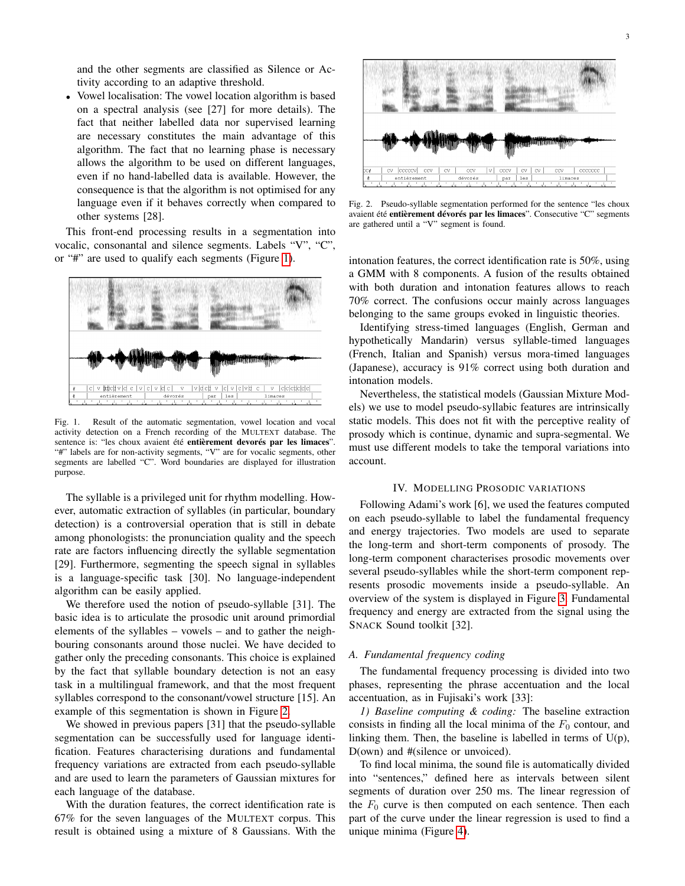and the other segments are classified as Silence or Activity according to an adaptive threshold.

• Vowel localisation: The vowel location algorithm is based on a spectral analysis (see [27] for more details). The fact that neither labelled data nor supervised learning are necessary constitutes the main advantage of this algorithm. The fact that no learning phase is necessary allows the algorithm to be used on different languages, even if no hand-labelled data is available. However, the consequence is that the algorithm is not optimised for any language even if it behaves correctly when compared to other systems [28].

This front-end processing results in a segmentation into vocalic, consonantal and silence segments. Labels "V", "C", or "#" are used to qualify each segments (Figure [1\)](#page-3-2).



<span id="page-3-2"></span>Fig. 1. Result of the automatic segmentation, vowel location and vocal activity detection on a French recording of the MULTEXT database. The sentence is: "les choux avaient été entièrement devorés par les limaces". "#" labels are for non-activity segments, "V" are for vocalic segments, other segments are labelled "C". Word boundaries are displayed for illustration purpose.

The syllable is a privileged unit for rhythm modelling. However, automatic extraction of syllables (in particular, boundary detection) is a controversial operation that is still in debate among phonologists: the pronunciation quality and the speech rate are factors influencing directly the syllable segmentation [29]. Furthermore, segmenting the speech signal in syllables is a language-specific task [30]. No language-independent algorithm can be easily applied.

We therefore used the notion of pseudo-syllable [31]. The basic idea is to articulate the prosodic unit around primordial elements of the syllables – vowels – and to gather the neighbouring consonants around those nuclei. We have decided to gather only the preceding consonants. This choice is explained by the fact that syllable boundary detection is not an easy task in a multilingual framework, and that the most frequent syllables correspond to the consonant/vowel structure [15]. An example of this segmentation is shown in Figure [2.](#page-3-0)

We showed in previous papers [31] that the pseudo-syllable segmentation can be successfully used for language identification. Features characterising durations and fundamental frequency variations are extracted from each pseudo-syllable and are used to learn the parameters of Gaussian mixtures for each language of the database.

With the duration features, the correct identification rate is 67% for the seven languages of the MULTEXT corpus. This result is obtained using a mixture of 8 Gaussians. With the



Fig. 2. Pseudo-syllable segmentation performed for the sentence "les choux avaient été entièrement dévorés par les limaces". Consecutive "C" segments are gathered until a "V" segment is found.

<span id="page-3-0"></span>intonation features, the correct identification rate is 50%, using a GMM with 8 components. A fusion of the results obtained with both duration and intonation features allows to reach 70% correct. The confusions occur mainly across languages belonging to the same groups evoked in linguistic theories.

Identifying stress-timed languages (English, German and hypothetically Mandarin) versus syllable-timed languages (French, Italian and Spanish) versus mora-timed languages (Japanese), accuracy is 91% correct using both duration and intonation models.

Nevertheless, the statistical models (Gaussian Mixture Models) we use to model pseudo-syllabic features are intrinsically static models. This does not fit with the perceptive reality of prosody which is continue, dynamic and supra-segmental. We must use different models to take the temporal variations into account.

#### IV. MODELLING PROSODIC VARIATIONS

<span id="page-3-1"></span>Following Adami's work [6], we used the features computed on each pseudo-syllable to label the fundamental frequency and energy trajectories. Two models are used to separate the long-term and short-term components of prosody. The long-term component characterises prosodic movements over several pseudo-syllables while the short-term component represents prosodic movements inside a pseudo-syllable. An overview of the system is displayed in Figure [3.](#page-4-0) Fundamental frequency and energy are extracted from the signal using the SNACK Sound toolkit [32].

#### *A. Fundamental frequency coding*

The fundamental frequency processing is divided into two phases, representing the phrase accentuation and the local accentuation, as in Fujisaki's work [33]:

*1) Baseline computing & coding:* The baseline extraction consists in finding all the local minima of the  $F_0$  contour, and linking them. Then, the baseline is labelled in terms of  $U(p)$ , D(own) and #(silence or unvoiced).

To find local minima, the sound file is automatically divided into "sentences," defined here as intervals between silent segments of duration over 250 ms. The linear regression of the  $F_0$  curve is then computed on each sentence. Then each part of the curve under the linear regression is used to find a unique minima (Figure [4\)](#page-4-1).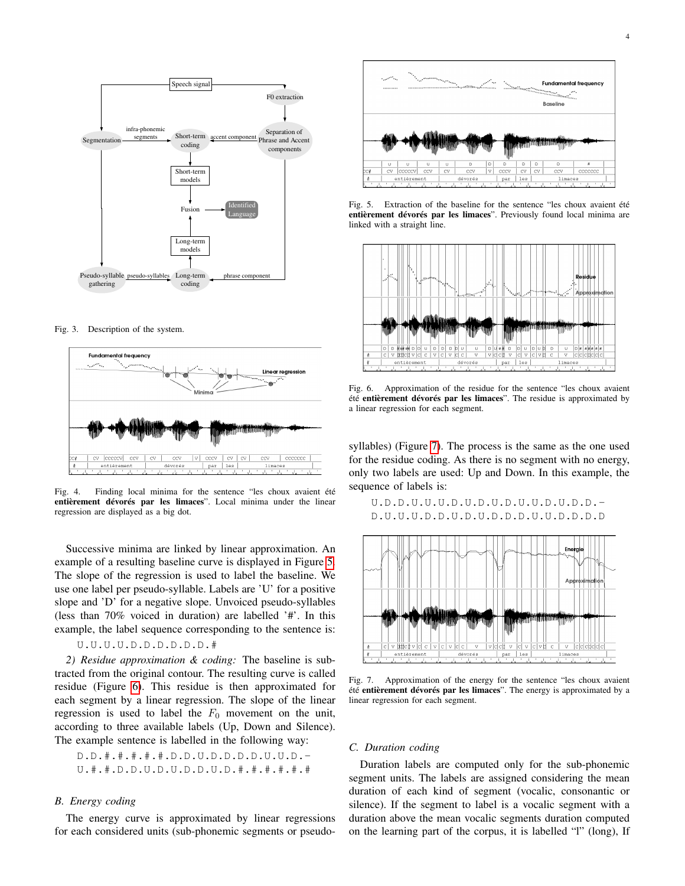

<span id="page-4-0"></span>Fig. 3. Description of the system.



<span id="page-4-1"></span>Fig. 4. Finding local minima for the sentence "les choux avaient été entièrement dévorés par les limaces". Local minima under the linear regression are displayed as a big dot.

Successive minima are linked by linear approximation. An example of a resulting baseline curve is displayed in Figure [5.](#page-4-2) The slope of the regression is used to label the baseline. We use one label per pseudo-syllable. Labels are 'U' for a positive slope and 'D' for a negative slope. Unvoiced pseudo-syllables (less than 70% voiced in duration) are labelled '#'. In this example, the label sequence corresponding to the sentence is:

# U.U.U.U.D.D.D.D.D.D.#

*2) Residue approximation & coding:* The baseline is subtracted from the original contour. The resulting curve is called residue (Figure [6\)](#page-4-3). This residue is then approximated for each segment by a linear regression. The slope of the linear regression is used to label the  $F_0$  movement on the unit, according to three available labels (Up, Down and Silence). The example sentence is labelled in the following way:

D.D. 
$$
#. #. #. #. D.D. U.D. D.D. D. U. U.D. - U. #. #. D.D. U.D. U.D. D. U.D. #. #. #. #. #. #
$$

# *B. Energy coding*

The energy curve is approximated by linear regressions for each considered units (sub-phonemic segments or pseudo-



<span id="page-4-2"></span>Fig. 5. Extraction of the baseline for the sentence "les choux avaient été entièrement dévorés par les limaces". Previously found local minima are linked with a straight line.



<span id="page-4-3"></span>Fig. 6. Approximation of the residue for the sentence "les choux avaient été entièrement dévorés par les limaces". The residue is approximated by a linear regression for each segment.

syllables) (Figure [7\)](#page-4-4). The process is the same as the one used for the residue coding. As there is no segment with no energy, only two labels are used: Up and Down. In this example, the sequence of labels is:

U.D.D.U.U.U.D.U.D.U.D.U.U.D.U.D.D.- D.U.U.U.D.D.U.D.U.D.D.D.U.U.D.D.D.D



<span id="page-4-4"></span>Fig. 7. Approximation of the energy for the sentence "les choux avaient été entièrement dévorés par les limaces". The energy is approximated by a linear regression for each segment.

#### *C. Duration coding*

Duration labels are computed only for the sub-phonemic segment units. The labels are assigned considering the mean duration of each kind of segment (vocalic, consonantic or silence). If the segment to label is a vocalic segment with a duration above the mean vocalic segments duration computed on the learning part of the corpus, it is labelled "l" (long), If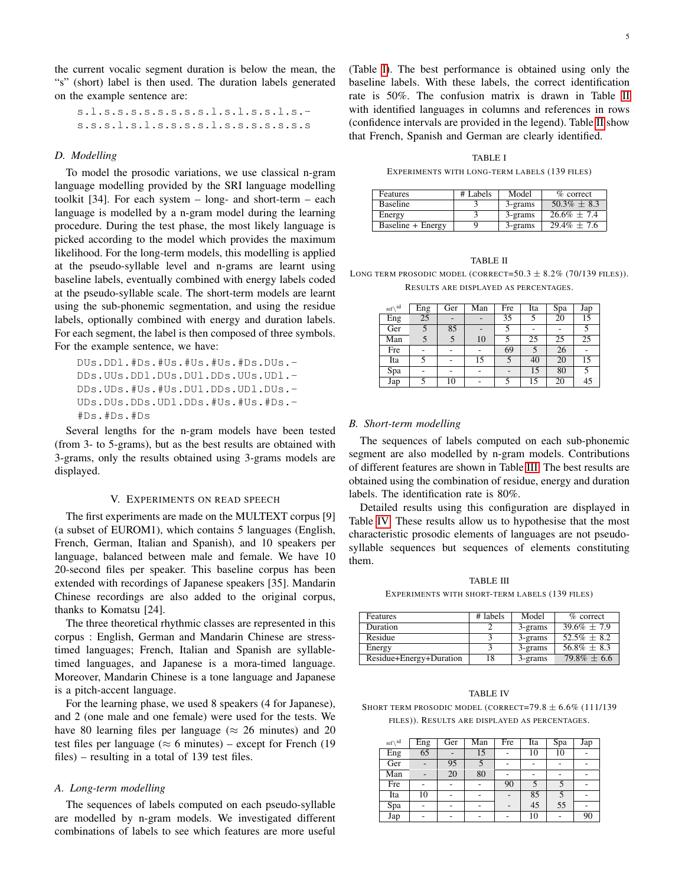the current vocalic segment duration is below the mean, the "s" (short) label is then used. The duration labels generated on the example sentence are:

s.l.s.s.s.s.s.s.s.s.l.s.l.s.s.l.s. s.s.s.l.s.l.s.s.s.s.l.s.s.s.s.s.s.s

#### *D. Modelling*

To model the prosodic variations, we use classical n-gram language modelling provided by the SRI language modelling toolkit [34]. For each system – long- and short-term – each language is modelled by a n-gram model during the learning procedure. During the test phase, the most likely language is picked according to the model which provides the maximum likelihood. For the long-term models, this modelling is applied at the pseudo-syllable level and n-grams are learnt using baseline labels, eventually combined with energy labels coded at the pseudo-syllable scale. The short-term models are learnt using the sub-phonemic segmentation, and using the residue labels, optionally combined with energy and duration labels. For each segment, the label is then composed of three symbols. For the example sentence, we have:

DUs.DDl.#Ds.#Us.#Us.#Us.#Ds.DUs.- DDs.UUs.DDl.DUs.DUl.DDs.UUs.UDl.- DDs.UDs.#Us.#Us.DUl.DDs.UDl.DUs.- UDs.DUs.DDs.UDl.DDs.#Us.#Us.#Ds.- #Ds.#Ds.#Ds

Several lengths for the n-gram models have been tested (from 3- to 5-grams), but as the best results are obtained with 3-grams, only the results obtained using 3-grams models are displayed.

#### V. EXPERIMENTS ON READ SPEECH

<span id="page-5-0"></span>The first experiments are made on the MULTEXT corpus [9] (a subset of EUROM1), which contains 5 languages (English, French, German, Italian and Spanish), and 10 speakers per language, balanced between male and female. We have 10 20-second files per speaker. This baseline corpus has been extended with recordings of Japanese speakers [35]. Mandarin Chinese recordings are also added to the original corpus, thanks to Komatsu [24].

The three theoretical rhythmic classes are represented in this corpus : English, German and Mandarin Chinese are stresstimed languages; French, Italian and Spanish are syllabletimed languages, and Japanese is a mora-timed language. Moreover, Mandarin Chinese is a tone language and Japanese is a pitch-accent language.

For the learning phase, we used 8 speakers (4 for Japanese), and 2 (one male and one female) were used for the tests. We have 80 learning files per language ( $\approx$  26 minutes) and 20 test files per language ( $\approx$  6 minutes) – except for French (19 files) – resulting in a total of 139 test files.

#### *A. Long-term modelling*

The sequences of labels computed on each pseudo-syllable are modelled by n-gram models. We investigated different combinations of labels to see which features are more useful

(Table [I\)](#page-5-1). The best performance is obtained using only the baseline labels. With these labels, the correct identification rate is 50%. The confusion matrix is drawn in Table [II](#page-5-2) with identified languages in columns and references in rows (confidence intervals are provided in the legend). Table [II](#page-5-2) show that French, Spanish and German are clearly identified.

TABLE I

EXPERIMENTS WITH LONG-TERM LABELS (139 FILES)

<span id="page-5-1"></span>

| Features          | # Labels | Model   | $%$ correct      |
|-------------------|----------|---------|------------------|
| <b>Baseline</b>   |          | 3-grams | $50.3\% \pm 8.3$ |
| Energy            |          | 3-grams | $26.6\% \pm 7.4$ |
| Baseline + Energy |          | 3-grams | $29.4\% \pm 7.6$ |

#### TABLE II

<span id="page-5-2"></span>LONG TERM PROSODIC MODEL (CORRECT=50.3  $\pm$  8.2% (70/139 FILES)). RESULTS ARE DISPLAYED AS PERCENTAGES.

| ref $\setminus$ <sup>id</sup> | Eng | Ger | Man | Fre | Ita | Spa | Jap |
|-------------------------------|-----|-----|-----|-----|-----|-----|-----|
| Eng                           | 25  |     |     | 35  |     | 20  | 15  |
| Ger                           |     | 85  |     |     |     |     |     |
| Man                           |     |     | 10  |     | 25  | 25  | 25  |
| Fre                           |     |     |     | 69  |     | 26  |     |
| Ita                           |     |     | 15  |     | 40  | 20  | 15  |
| Spa                           |     |     |     |     | 15  | 80  |     |
| Jap                           |     | 10  |     |     | 15  | 20  | 45  |

#### *B. Short-term modelling*

The sequences of labels computed on each sub-phonemic segment are also modelled by n-gram models. Contributions of different features are shown in Table [III.](#page-5-3) The best results are obtained using the combination of residue, energy and duration labels. The identification rate is 80%.

Detailed results using this configuration are displayed in Table [IV.](#page-5-4) These results allow us to hypothesise that the most characteristic prosodic elements of languages are not pseudosyllable sequences but sequences of elements constituting them.

TABLE III

EXPERIMENTS WITH SHORT-TERM LABELS (139 FILES)

<span id="page-5-3"></span>

| Features                | # labels | Model   | $%$ correct    |
|-------------------------|----------|---------|----------------|
| Duration                |          | 3-grams | $39.6\% + 7.9$ |
| Residue                 |          | 3-grams | $52.5\% + 8.2$ |
| Energy                  |          | 3-grams | $56.8\% + 8.3$ |
| Residue+Energy+Duration | 18       | 3-grams | $79.8\% + 6.6$ |

#### TABLE IV

<span id="page-5-4"></span>SHORT TERM PROSODIC MODEL (CORRECT=79.8  $\pm$  6.6% (111/139) FILES)). RESULTS ARE DISPLAYED AS PERCENTAGES.

| ref $\setminus$ id | Eng | Ger | Man | Fre | Ita | Spa | Jap |
|--------------------|-----|-----|-----|-----|-----|-----|-----|
| Eng                | 65  |     | 15  |     | 10  | 10  |     |
| Ger                |     | 95  |     |     |     |     |     |
| Man                |     | 20  | 80  |     |     |     |     |
| Fre                |     |     |     | 90  |     |     |     |
| Ita                | 10  |     |     |     | 85  |     |     |
| Spa                |     |     |     |     | 45  | 55  |     |
| Jap                |     | ۰   | ۰   | ۰   | 10  |     | 90  |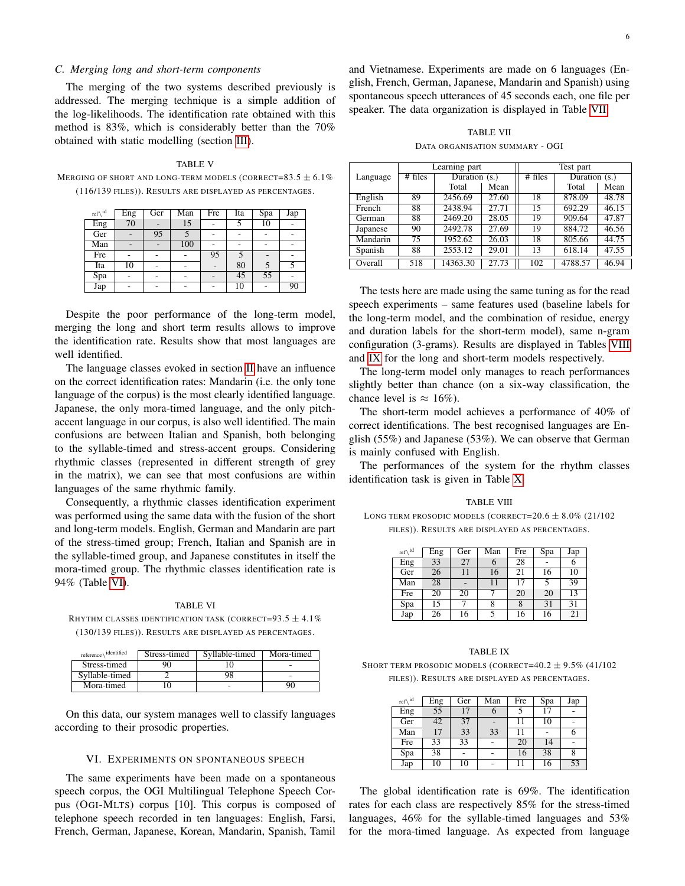#### *C. Merging long and short-term components*

The merging of the two systems described previously is addressed. The merging technique is a simple addition of the log-likelihoods. The identification rate obtained with this method is 83%, which is considerably better than the 70% obtained with static modelling (section [III\)](#page-3-0).

TABLE V MERGING OF SHORT AND LONG-TERM MODELS (CORRECT=83.5  $\pm$  6.1%) (116/139 FILES)). RESULTS ARE DISPLAYED AS PERCENTAGES.

| ref $\setminus$ <sup>id</sup> | Eng | Ger | Man | Fre | Ita | $\overline{Spa}$ | Jap |
|-------------------------------|-----|-----|-----|-----|-----|------------------|-----|
| Eng                           | 70  |     | 15  |     |     | 10               |     |
| Ger                           |     | 95  |     |     |     |                  |     |
| Man                           |     |     | 100 |     | ۰   |                  |     |
| Fre                           |     |     |     | 95  |     |                  |     |
| Ita                           | 10  | ٠   | ۰   |     | 80  |                  |     |
| Spa                           |     |     | ۰   |     | 45  | 55               |     |
| Jap                           |     | ٠   | ۰   |     | 10  |                  | 90  |

Despite the poor performance of the long-term model, merging the long and short term results allows to improve the identification rate. Results show that most languages are well identified.

The language classes evoked in section [II](#page-1-0) have an influence on the correct identification rates: Mandarin (i.e. the only tone language of the corpus) is the most clearly identified language. Japanese, the only mora-timed language, and the only pitchaccent language in our corpus, is also well identified. The main confusions are between Italian and Spanish, both belonging to the syllable-timed and stress-accent groups. Considering rhythmic classes (represented in different strength of grey in the matrix), we can see that most confusions are within languages of the same rhythmic family.

Consequently, a rhythmic classes identification experiment was performed using the same data with the fusion of the short and long-term models. English, German and Mandarin are part of the stress-timed group; French, Italian and Spanish are in the syllable-timed group, and Japanese constitutes in itself the mora-timed group. The rhythmic classes identification rate is 94% (Table [VI\)](#page-6-1).

#### TABLE VI

<span id="page-6-1"></span>RHYTHM CLASSES IDENTIFICATION TASK (CORRECT=93.5  $\pm$  4.1%) (130/139 FILES)). RESULTS ARE DISPLAYED AS PERCENTAGES.

| identified<br>reference | Stress-timed | Syllable-timed | Mora-timed |
|-------------------------|--------------|----------------|------------|
| Stress-timed            |              |                |            |
| Syllable-timed          |              | 98             | -          |
| Mora-timed              |              |                | 90         |

On this data, our system manages well to classify languages according to their prosodic properties.

#### VI. EXPERIMENTS ON SPONTANEOUS SPEECH

<span id="page-6-0"></span>The same experiments have been made on a spontaneous speech corpus, the OGI Multilingual Telephone Speech Corpus (OGI-MLTS) corpus [10]. This corpus is composed of telephone speech recorded in ten languages: English, Farsi, French, German, Japanese, Korean, Mandarin, Spanish, Tamil

and Vietnamese. Experiments are made on 6 languages (English, French, German, Japanese, Mandarin and Spanish) using spontaneous speech utterances of 45 seconds each, one file per speaker. The data organization is displayed in Table [VII.](#page-6-2)

TABLE VII

DATA ORGANISATION SUMMARY - OGI

<span id="page-6-2"></span>

|          |         | Learning part   |       |         | Test part       |       |  |
|----------|---------|-----------------|-------|---------|-----------------|-------|--|
| Language | # files | Duration $(s.)$ |       | # files | Duration $(s.)$ |       |  |
|          |         | Total           | Mean  |         | Total           | Mean  |  |
| English  | 89      | 2456.69         | 27.60 | 18      | 878.09          | 48.78 |  |
| French   | 88      | 2438.94         | 27.71 | 15      | 692.29          | 46.15 |  |
| German   | 88      | 2469.20         | 28.05 | 19      | 909.64          | 47.87 |  |
| Japanese | 90      | 2492.78         | 27.69 | 19      | 884.72          | 46.56 |  |
| Mandarin | 75      | 1952.62         | 26.03 | 18      | 805.66          | 44.75 |  |
| Spanish  | 88      | 2553.12         | 29.01 | 13      | 618.14          | 47.55 |  |
| Overall  | 518     | 14363.30        | 27.73 | 102     | 4788.57         | 46.94 |  |

The tests here are made using the same tuning as for the read speech experiments – same features used (baseline labels for the long-term model, and the combination of residue, energy and duration labels for the short-term model), same n-gram configuration (3-grams). Results are displayed in Tables [VIII](#page-6-3) and [IX](#page-6-4) for the long and short-term models respectively.

The long-term model only manages to reach performances slightly better than chance (on a six-way classification, the chance level is  $\approx 16\%$ ).

The short-term model achieves a performance of 40% of correct identifications. The best recognised languages are English (55%) and Japanese (53%). We can observe that German is mainly confused with English.

The performances of the system for the rhythm classes identification task is given in Table [X.](#page-7-1)

<span id="page-6-3"></span>TABLE VIII LONG TERM PROSODIC MODELS (CORRECT= $20.6 \pm 8.0\%$  (21/102) FILES)). RESULTS ARE DISPLAYED AS PERCENTAGES.

| ref $\setminus$ <sup>id</sup> | Eng | Ger            | Man | Fre | Spa | Jap |
|-------------------------------|-----|----------------|-----|-----|-----|-----|
| Eng                           | 33  | 27             | 6   | 28  |     | 6   |
| Ger                           | 26  | 11             | 16  | 21  | 16  | 10  |
| Man                           | 28  | $\overline{a}$ | 11  | 17  | 5   | 39  |
| Fre                           | 20  | 20             |     | 20  | 20  | 13  |
| Spa                           | 15  |                | 8   | 8   | 31  | 31  |
| Jap                           | 26  | 16             |     | 16  | 16  | 21  |

<span id="page-6-4"></span>TABLE IX SHORT TERM PROSODIC MODELS (CORRECT= $40.2 \pm 9.5\%$  (41/102) FILES)). RESULTS ARE DISPLAYED AS PERCENTAGES.

| ref $\setminus$ <sup>id</sup> | Eng | Ger | Man | Fre | Spa | Jap |
|-------------------------------|-----|-----|-----|-----|-----|-----|
| Eng                           | 55  | 17  |     |     | 17  |     |
| Ger                           | 42  | 37  |     | 11  | 10  |     |
| Man                           | 17  | 33  | 33  | 11  |     | O   |
| Fre                           | 33  | 33  |     | 20  | 14  |     |
| Spa                           | 38  |     |     | 16  | 38  | 8   |
| Jap                           | 10  | 10  |     |     | 16  | 53  |

The global identification rate is 69%. The identification rates for each class are respectively 85% for the stress-timed languages, 46% for the syllable-timed languages and 53% for the mora-timed language. As expected from language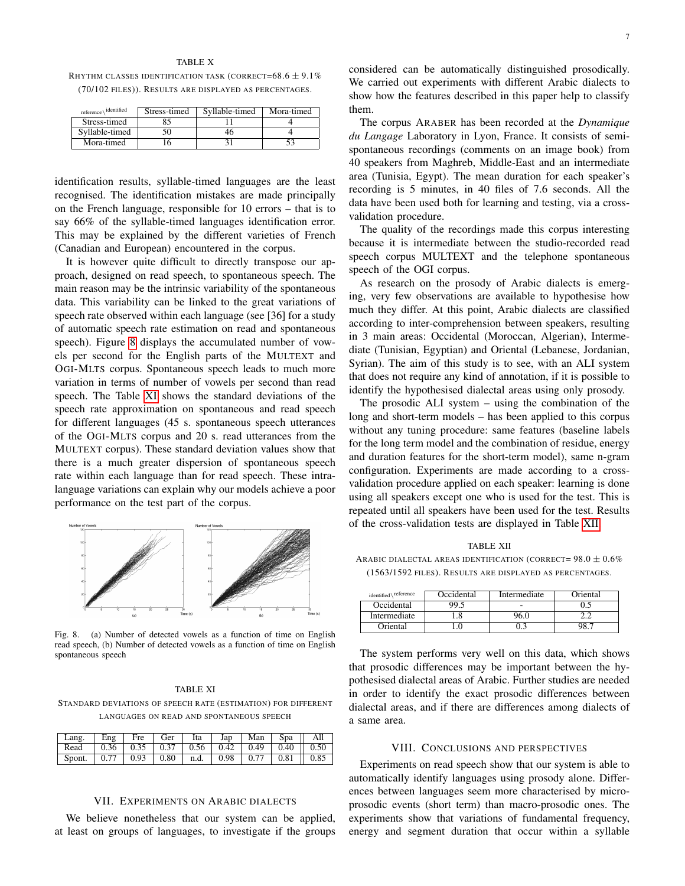#### TABLE X

<span id="page-7-1"></span>RHYTHM CLASSES IDENTIFICATION TASK (CORRECT= $68.6 \pm 9.1\%$ (70/102 FILES)). RESULTS ARE DISPLAYED AS PERCENTAGES.

| identified<br>reference | Stress-timed | Syllable-timed | Mora-timed |
|-------------------------|--------------|----------------|------------|
| Stress-timed            |              |                |            |
| Syllable-timed          |              |                |            |
| Mora-timed              |              |                |            |

identification results, syllable-timed languages are the least recognised. The identification mistakes are made principally on the French language, responsible for 10 errors – that is to say 66% of the syllable-timed languages identification error. This may be explained by the different varieties of French (Canadian and European) encountered in the corpus.

It is however quite difficult to directly transpose our approach, designed on read speech, to spontaneous speech. The main reason may be the intrinsic variability of the spontaneous data. This variability can be linked to the great variations of speech rate observed within each language (see [36] for a study of automatic speech rate estimation on read and spontaneous speech). Figure [8](#page-7-2) displays the accumulated number of vowels per second for the English parts of the MULTEXT and OGI-MLTS corpus. Spontaneous speech leads to much more variation in terms of number of vowels per second than read speech. The Table [XI](#page-7-3) shows the standard deviations of the speech rate approximation on spontaneous and read speech for different languages (45 s. spontaneous speech utterances of the OGI-MLTS corpus and 20 s. read utterances from the MULTEXT corpus). These standard deviation values show that there is a much greater dispersion of spontaneous speech rate within each language than for read speech. These intralanguage variations can explain why our models achieve a poor performance on the test part of the corpus.



<span id="page-7-2"></span>Fig. 8. (a) Number of detected vowels as a function of time on English read speech, (b) Number of detected vowels as a function of time on English spontaneous speech

# <span id="page-7-3"></span>TABLE XI STANDARD DEVIATIONS OF SPEECH RATE (ESTIMATION) FOR DIFFERENT LANGUAGES ON READ AND SPONTANEOUS SPEECH

| Lang.   Eng   Fre   Ger   Ita   Jap   Man   Spa    All          |  |  |  |  |
|-----------------------------------------------------------------|--|--|--|--|
|                                                                 |  |  |  |  |
| Spont.   0.77   0.93   0.80   n.d.   0.98   0.77   0.81    0.85 |  |  |  |  |

## VII. EXPERIMENTS ON ARABIC DIALECTS

<span id="page-7-0"></span>We believe nonetheless that our system can be applied, at least on groups of languages, to investigate if the groups

considered can be automatically distinguished prosodically. We carried out experiments with different Arabic dialects to show how the features described in this paper help to classify them.

The corpus ARABER has been recorded at the *Dynamique du Langage* Laboratory in Lyon, France. It consists of semispontaneous recordings (comments on an image book) from 40 speakers from Maghreb, Middle-East and an intermediate area (Tunisia, Egypt). The mean duration for each speaker's recording is 5 minutes, in 40 files of 7.6 seconds. All the data have been used both for learning and testing, via a crossvalidation procedure.

The quality of the recordings made this corpus interesting because it is intermediate between the studio-recorded read speech corpus MULTEXT and the telephone spontaneous speech of the OGI corpus.

As research on the prosody of Arabic dialects is emerging, very few observations are available to hypothesise how much they differ. At this point, Arabic dialects are classified according to inter-comprehension between speakers, resulting in 3 main areas: Occidental (Moroccan, Algerian), Intermediate (Tunisian, Egyptian) and Oriental (Lebanese, Jordanian, Syrian). The aim of this study is to see, with an ALI system that does not require any kind of annotation, if it is possible to identify the hypothesised dialectal areas using only prosody.

The prosodic ALI system – using the combination of the long and short-term models – has been applied to this corpus without any tuning procedure: same features (baseline labels for the long term model and the combination of residue, energy and duration features for the short-term model), same n-gram configuration. Experiments are made according to a crossvalidation procedure applied on each speaker: learning is done using all speakers except one who is used for the test. This is repeated until all speakers have been used for the test. Results of the cross-validation tests are displayed in Table [XII.](#page-7-4)

TABLE XII

<span id="page-7-4"></span>ARABIC DIALECTAL AREAS IDENTIFICATION (CORRECT=  $98.0 \pm 0.6\%$ (1563/1592 FILES). RESULTS ARE DISPLAYED AS PERCENTAGES.

| identified\ <sup>reference</sup> | Occidental | Intermediate | <b>Driental</b> |
|----------------------------------|------------|--------------|-----------------|
| Occidental                       | 99.5       |              |                 |
| Intermediate                     |            | ) Al         |                 |
| Oriental                         |            |              |                 |

The system performs very well on this data, which shows that prosodic differences may be important between the hypothesised dialectal areas of Arabic. Further studies are needed in order to identify the exact prosodic differences between dialectal areas, and if there are differences among dialects of a same area.

# VIII. CONCLUSIONS AND PERSPECTIVES

Experiments on read speech show that our system is able to automatically identify languages using prosody alone. Differences between languages seem more characterised by microprosodic events (short term) than macro-prosodic ones. The experiments show that variations of fundamental frequency, energy and segment duration that occur within a syllable